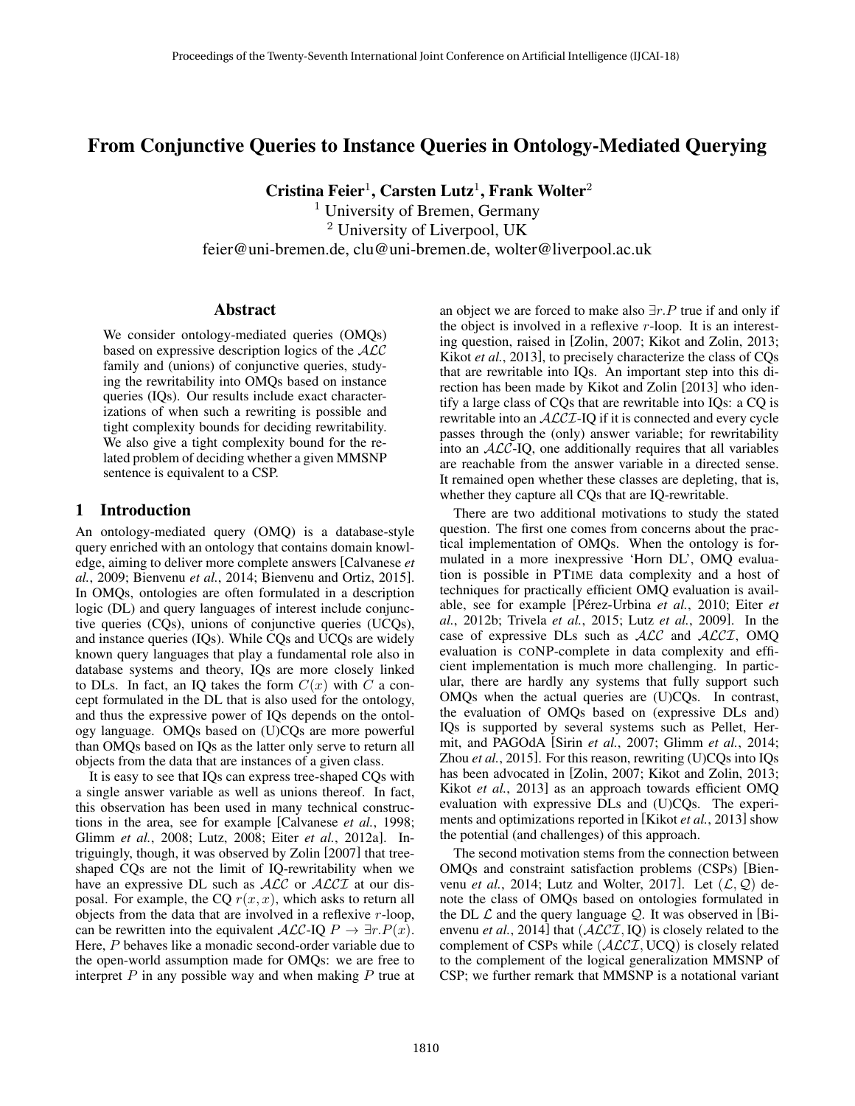# From Conjunctive Queries to Instance Queries in Ontology-Mediated Querying

Cristina Feier<sup>1</sup>, Carsten Lutz<sup>1</sup>, Frank Wolter<sup>2</sup> <sup>1</sup> University of Bremen, Germany

<sup>2</sup> University of Liverpool, UK feier@uni-bremen.de, clu@uni-bremen.de, wolter@liverpool.ac.uk

#### Abstract

We consider ontology-mediated queries (OMQs) based on expressive description logics of the ALC family and (unions) of conjunctive queries, studying the rewritability into OMQs based on instance queries (IQs). Our results include exact characterizations of when such a rewriting is possible and tight complexity bounds for deciding rewritability. We also give a tight complexity bound for the related problem of deciding whether a given MMSNP sentence is equivalent to a CSP.

# 1 Introduction

An ontology-mediated query (OMQ) is a database-style query enriched with an ontology that contains domain knowledge, aiming to deliver more complete answers [Calvanese *et al.*, 2009; Bienvenu *et al.*, 2014; Bienvenu and Ortiz, 2015]. In OMQs, ontologies are often formulated in a description logic (DL) and query languages of interest include conjunctive queries (CQs), unions of conjunctive queries (UCQs), and instance queries (IQs). While CQs and UCQs are widely known query languages that play a fundamental role also in database systems and theory, IQs are more closely linked to DLs. In fact, an IQ takes the form  $C(x)$  with C a concept formulated in the DL that is also used for the ontology, and thus the expressive power of IQs depends on the ontology language. OMQs based on (U)CQs are more powerful than OMQs based on IQs as the latter only serve to return all objects from the data that are instances of a given class.

It is easy to see that IQs can express tree-shaped CQs with a single answer variable as well as unions thereof. In fact, this observation has been used in many technical constructions in the area, see for example [Calvanese *et al.*, 1998; Glimm *et al.*, 2008; Lutz, 2008; Eiter *et al.*, 2012a]. Intriguingly, though, it was observed by Zolin [2007] that treeshaped CQs are not the limit of IQ-rewritability when we have an expressive DL such as  $ALC$  or  $ALCI$  at our disposal. For example, the CQ  $r(x, x)$ , which asks to return all objects from the data that are involved in a reflexive  $r$ -loop, can be rewritten into the equivalent  $\mathcal{ALC}$ -IQ  $P \to \exists r.P(x)$ . Here, P behaves like a monadic second-order variable due to the open-world assumption made for OMQs: we are free to interpret  $P$  in any possible way and when making  $P$  true at an object we are forced to make also  $\exists r.P$  true if and only if the object is involved in a reflexive  $r$ -loop. It is an interesting question, raised in [Zolin, 2007; Kikot and Zolin, 2013; Kikot *et al.*, 2013], to precisely characterize the class of CQs that are rewritable into IQs. An important step into this direction has been made by Kikot and Zolin [2013] who identify a large class of CQs that are rewritable into IQs: a CQ is rewritable into an *ACCI*-IQ if it is connected and every cycle passes through the (only) answer variable; for rewritability into an  $ALC$ -IQ, one additionally requires that all variables are reachable from the answer variable in a directed sense. It remained open whether these classes are depleting, that is, whether they capture all CQs that are IQ-rewritable.

There are two additional motivations to study the stated question. The first one comes from concerns about the practical implementation of OMQs. When the ontology is formulated in a more inexpressive 'Horn DL', OMQ evaluation is possible in PTIME data complexity and a host of techniques for practically efficient OMQ evaluation is available, see for example [Pérez-Urbina et al., 2010; Eiter et *al.*, 2012b; Trivela *et al.*, 2015; Lutz *et al.*, 2009]. In the case of expressive DLs such as ALC and ALCI, OMQ evaluation is CONP-complete in data complexity and efficient implementation is much more challenging. In particular, there are hardly any systems that fully support such OMQs when the actual queries are (U)CQs. In contrast, the evaluation of OMQs based on (expressive DLs and) IQs is supported by several systems such as Pellet, Hermit, and PAGOdA [Sirin *et al.*, 2007; Glimm *et al.*, 2014; Zhou *et al.*, 2015]. For this reason, rewriting (U)CQs into IQs has been advocated in [Zolin, 2007; Kikot and Zolin, 2013; Kikot *et al.*, 2013] as an approach towards efficient OMQ evaluation with expressive DLs and (U)CQs. The experiments and optimizations reported in [Kikot *et al.*, 2013] show the potential (and challenges) of this approach.

The second motivation stems from the connection between OMQs and constraint satisfaction problems (CSPs) [Bienvenu *et al.*, 2014; Lutz and Wolter, 2017]. Let  $(\mathcal{L}, \mathcal{Q})$  denote the class of OMQs based on ontologies formulated in the DL  $\mathcal L$  and the query language  $\mathcal Q$ . It was observed in [Bienvenu *et al.*, 2014] that  $(ACCI, IQ)$  is closely related to the complement of CSPs while  $(ALCI, UCQ)$  is closely related to the complement of the logical generalization MMSNP of CSP; we further remark that MMSNP is a notational variant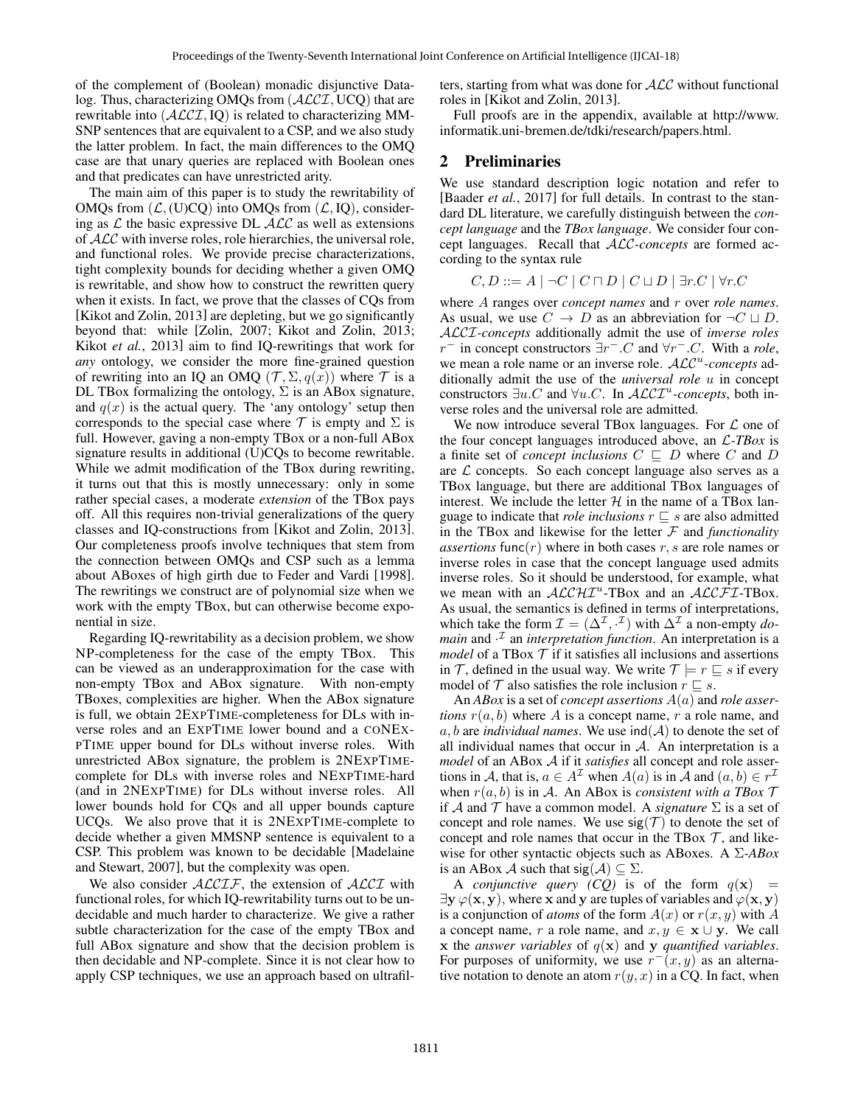of the complement of (Boolean) monadic disjunctive Datalog. Thus, characterizing OMQs from  $(ALCI, UCQ)$  that are rewritable into  $(ALCI, IQ)$  is related to characterizing MM-SNP sentences that are equivalent to a CSP, and we also study the latter problem. In fact, the main differences to the OMQ case are that unary queries are replaced with Boolean ones and that predicates can have unrestricted arity.

The main aim of this paper is to study the rewritability of OMQs from  $(\mathcal{L}, (U)CQ)$  into OMQs from  $(\mathcal{L}, IQ)$ , considering as  $\mathcal L$  the basic expressive DL  $\mathcal{ALC}$  as well as extensions of ALC with inverse roles, role hierarchies, the universal role, and functional roles. We provide precise characterizations, tight complexity bounds for deciding whether a given OMQ is rewritable, and show how to construct the rewritten query when it exists. In fact, we prove that the classes of CQs from [Kikot and Zolin, 2013] are depleting, but we go significantly beyond that: while [Zolin, 2007; Kikot and Zolin, 2013; Kikot *et al.*, 2013] aim to find IQ-rewritings that work for *any* ontology, we consider the more fine-grained question of rewriting into an IQ an OMQ  $(\mathcal{T}, \Sigma, q(x))$  where  $\mathcal T$  is a DL TBox formalizing the ontology,  $\Sigma$  is an ABox signature, and  $q(x)$  is the actual query. The 'any ontology' setup then corresponds to the special case where  $\mathcal T$  is empty and  $\Sigma$  is full. However, gaving a non-empty TBox or a non-full ABox signature results in additional (U)CQs to become rewritable. While we admit modification of the TBox during rewriting, it turns out that this is mostly unnecessary: only in some rather special cases, a moderate *extension* of the TBox pays off. All this requires non-trivial generalizations of the query classes and IQ-constructions from [Kikot and Zolin, 2013]. Our completeness proofs involve techniques that stem from the connection between OMQs and CSP such as a lemma about ABoxes of high girth due to Feder and Vardi [1998]. The rewritings we construct are of polynomial size when we work with the empty TBox, but can otherwise become exponential in size.

Regarding IQ-rewritability as a decision problem, we show NP-completeness for the case of the empty TBox. This can be viewed as an underapproximation for the case with non-empty TBox and ABox signature. With non-empty TBoxes, complexities are higher. When the ABox signature is full, we obtain 2EXPTIME-completeness for DLs with inverse roles and an EXPTIME lower bound and a CONEX-PTIME upper bound for DLs without inverse roles. With unrestricted ABox signature, the problem is 2NEXPTIMEcomplete for DLs with inverse roles and NEXPTIME-hard (and in 2NEXPTIME) for DLs without inverse roles. All lower bounds hold for CQs and all upper bounds capture UCQs. We also prove that it is 2NEXPTIME-complete to decide whether a given MMSNP sentence is equivalent to a CSP. This problem was known to be decidable [Madelaine and Stewart, 2007], but the complexity was open.

We also consider  $ALCIF$ , the extension of  $ALCI$  with functional roles, for which IQ-rewritability turns out to be undecidable and much harder to characterize. We give a rather subtle characterization for the case of the empty TBox and full ABox signature and show that the decision problem is then decidable and NP-complete. Since it is not clear how to apply CSP techniques, we use an approach based on ultrafilters, starting from what was done for ALC without functional roles in [Kikot and Zolin, 2013].

Full proofs are in the appendix, available at http://www. informatik.uni-bremen.de/tdki/research/papers.html.

# 2 Preliminaries

We use standard description logic notation and refer to [Baader *et al.*, 2017] for full details. In contrast to the standard DL literature, we carefully distinguish between the *concept language* and the *TBox language*. We consider four concept languages. Recall that ALC*-concepts* are formed according to the syntax rule

$$
C, D ::= A \mid \neg C \mid C \sqcap D \mid C \sqcup D \mid \exists r.C \mid \forall r.C
$$

where A ranges over *concept names* and r over *role names*. As usual, we use  $C \to D$  as an abbreviation for  $\neg C \sqcup D$ . ALCI*-concepts* additionally admit the use of *inverse roles*  $r^-$  in concept constructors  $\exists r^- . C$  and  $\forall r^- . C$ . With a *role*, we mean a role name or an inverse role.  $\mathcal{ALC}^u$ -concepts additionally admit the use of the *universal role* u in concept constructors  $\exists u.C$  and  $\forall u.C$ . In  $\mathcal{ALCI}^u$ -concepts, both inverse roles and the universal role are admitted.

We now introduce several TBox languages. For  $\mathcal L$  one of the four concept languages introduced above, an L*-TBox* is a finite set of *concept inclusions*  $C \subseteq D$  where C and D are  $\mathcal L$  concepts. So each concept language also serves as a TBox language, but there are additional TBox languages of interest. We include the letter  $H$  in the name of a TBox language to indicate that *role inclusions*  $r \subseteq s$  are also admitted in the TBox and likewise for the letter  $F$  and *functionality assertions* func $(r)$  where in both cases r, s are role names or inverse roles in case that the concept language used admits inverse roles. So it should be understood, for example, what we mean with an  $ALCHI^u$ -TBox and an  $ALCFT$ -TBox. As usual, the semantics is defined in terms of interpretations, which take the form  $\mathcal{I} = (\Delta^{\mathcal{I}}, \cdot^{\mathcal{I}})$  with  $\Delta^{\mathcal{I}}$  a non-empty *domain* and  $\cdot$ <sup> $I$ </sup> an *interpretation function*. An interpretation is a *model* of a TBox  $T$  if it satisfies all inclusions and assertions in T, defined in the usual way. We write  $\mathcal{T} \models r \sqsubseteq s$  if every model of  $\mathcal T$  also satisfies the role inclusion  $r \sqsubseteq s$ .

An *ABox* is a set of *concept assertions* A(a) and *role assertions*  $r(a, b)$  where A is a concept name, r a role name, and  $a, b$  are *individual names*. We use  $\text{ind}(\mathcal{A})$  to denote the set of all individual names that occur in  $A$ . An interpretation is a *model* of an ABox A if it *satisfies* all concept and role assertions in A, that is,  $a \in A^{\mathcal{I}}$  when  $A(a)$  is in  $\mathcal{\tilde{A}}$  and  $(a, b) \in r^{\mathcal{I}}$ when  $r(a, b)$  is in A. An ABox is *consistent with a TBox*  $\mathcal T$ if A and T have a common model. A *signature*  $\Sigma$  is a set of concept and role names. We use  $sig(\mathcal{T})$  to denote the set of concept and role names that occur in the TBox  $\mathcal{T}$ , and likewise for other syntactic objects such as ABoxes. A Σ*-ABox* is an ABox A such that  $sig(A) \subseteq \Sigma$ .

A *conjunctive query (CQ)* is of the form  $q(x)$  =  $\exists y \varphi(x, y)$ , where x and y are tuples of variables and  $\varphi(x, y)$ is a conjunction of *atoms* of the form  $A(x)$  or  $r(x, y)$  with A a concept name, r a role name, and  $x, y \in \mathbf{x} \cup \mathbf{y}$ . We call  $x$  the *answer variables* of  $q(x)$  and  $y$  *quantified variables.* For purposes of uniformity, we use  $r^-(x, y)$  as an alternative notation to denote an atom  $r(y, x)$  in a CQ. In fact, when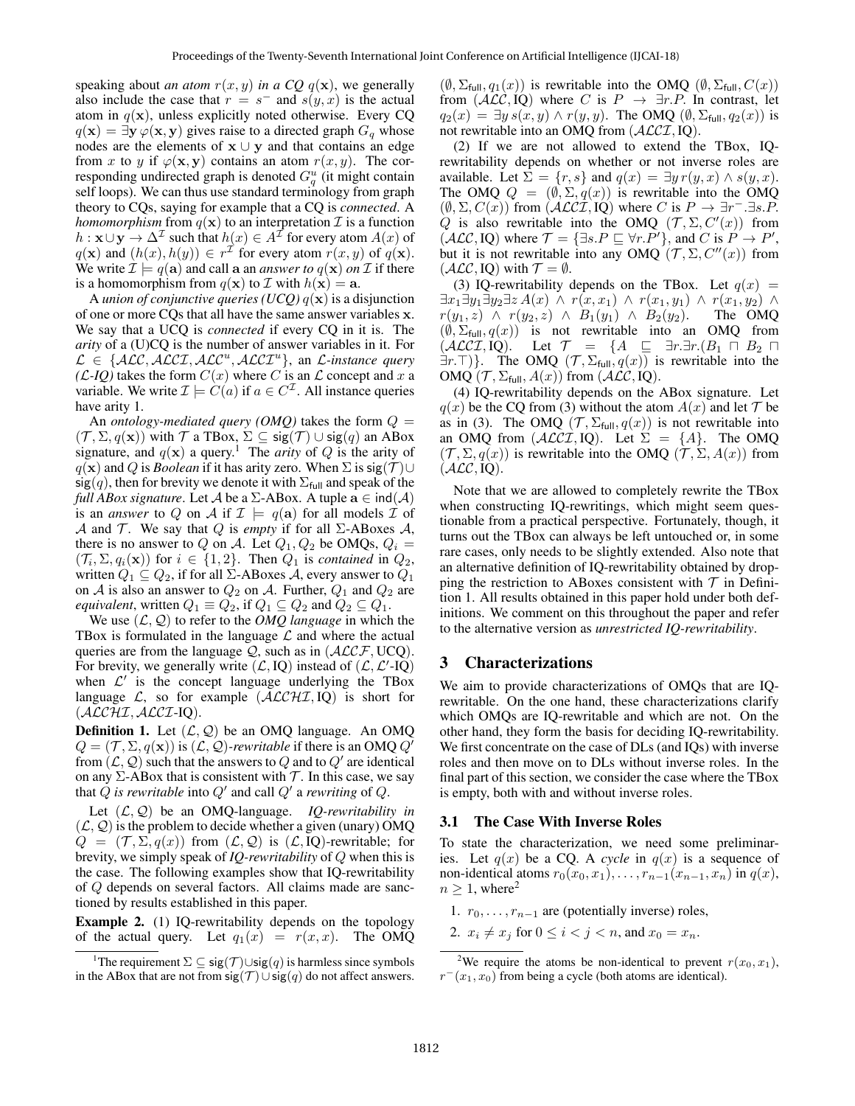speaking about *an atom*  $r(x, y)$  *in a CQ q(x)*, we generally also include the case that  $r = s^-$  and  $s(y, x)$  is the actual atom in  $q(x)$ , unless explicitly noted otherwise. Every CQ  $q(\mathbf{x}) = \exists \mathbf{y} \varphi(\mathbf{x}, \mathbf{y})$  gives raise to a directed graph  $G_q$  whose nodes are the elements of  $x \cup y$  and that contains an edge from x to y if  $\varphi(\mathbf{x}, \mathbf{y})$  contains an atom  $r(x, y)$ . The corresponding undirected graph is denoted  $G_q^u$  (it might contain self loops). We can thus use standard terminology from graph theory to CQs, saying for example that a CQ is *connected*. A *homomorphism* from  $q(x)$  to an interpretation  $\mathcal I$  is a function  $h: \mathbf{x} \cup \mathbf{y} \to \Delta^{\mathcal{I}}$  such that  $h(x) \in A^{\mathcal{I}}$  for every atom  $A(x)$  of  $q(\mathbf{x})$  and  $(h(x), h(y)) \in r^{\mathcal{I}}$  for every atom  $r(x, y)$  of  $q(\mathbf{x})$ . We write  $\mathcal{I} \models q(\mathbf{a})$  and call a an *answer to*  $q(\mathbf{x})$  *on*  $\mathcal{I}$  if there is a homomorphism from  $q(\mathbf{x})$  to  $\mathcal I$  with  $h(\mathbf{x}) = \mathbf{a}$ .

A *union of conjunctive queries (UCQ)* q(x) is a disjunction of one or more CQs that all have the same answer variables x. We say that a UCQ is *connected* if every CQ in it is. The *arity* of a (U)CQ is the number of answer variables in it. For  $\mathcal{L} \in \{ \mathcal{ALC}, \mathcal{ALCI}, \mathcal{ALC}^u, \mathcal{ALCI}^u \},$  an  $\mathcal{L}\text{-instance query}$  $(L-IQ)$  takes the form  $C(x)$  where C is an L concept and x a variable. We write  $\mathcal{I} \models C(a)$  if  $a \in C^{\mathcal{I}}$ . All instance queries have arity 1.

An *ontology-mediated query (OMQ)* takes the form  $Q =$  $(\mathcal{T}, \Sigma, q(\mathbf{x}))$  with  $\mathcal{T}$  a TBox,  $\Sigma \subseteq \text{sig}(\mathcal{T}) \cup \text{sig}(q)$  an ABox signature, and  $q(x)$  a query.<sup>1</sup> The *arity* of Q is the arity of  $q(x)$  and Q is *Boolean* if it has arity zero. When  $\Sigma$  is sig( $\mathcal{T}$ )∪ sig(q), then for brevity we denote it with  $\Sigma_{\text{full}}$  and speak of the *full ABox signature.* Let *A* be a  $\Sigma$ -ABox. A tuple  $\mathbf{a} \in \text{ind}(\mathcal{A})$ is an *answer* to Q on A if  $\mathcal{I} \models q(\mathbf{a})$  for all models  $\mathcal{I}$  of A and T. We say that Q is *empty* if for all  $\Sigma$ -ABoxes A, there is no answer to Q on A. Let  $Q_1, Q_2$  be OMQs,  $Q_i$  =  $(\mathcal{T}_i, \Sigma, q_i(\mathbf{x}))$  for  $i \in \{1,2\}$ . Then  $Q_1$  is *contained* in  $Q_2$ , written  $Q_1 \subseteq Q_2$ , if for all  $\Sigma$ -ABoxes A, every answer to  $Q_1$ on A is also an answer to  $Q_2$  on A. Further,  $Q_1$  and  $Q_2$  are *equivalent*, written  $Q_1 \equiv Q_2$ , if  $Q_1 \subseteq Q_2$  and  $Q_2 \subseteq Q_1$ .

We use  $(\mathcal{L}, \mathcal{Q})$  to refer to the *OMQ language* in which the TBox is formulated in the language  $\mathcal L$  and where the actual queries are from the language  $Q$ , such as in  $(ALCF, UCQ)$ . For brevity, we generally write  $(\mathcal{L}, IQ)$  instead of  $(\mathcal{L}, \mathcal{L}'-IQ)$ when  $\mathcal{L}'$  is the concept language underlying the TBox language  $\mathcal{L}$ , so for example  $(\mathcal{ALCHI}, IQ)$  is short for  $(ACCHI, ACCI-IQ).$ 

**Definition 1.** Let  $(\mathcal{L}, \mathcal{Q})$  be an OMQ language. An OMQ  $Q = (\mathcal{T}, \Sigma, q(\mathbf{x}))$  is  $(\mathcal{L}, \mathcal{Q})$ -rewritable if there is an OMQ Q' from  $(L, Q)$  such that the answers to Q and to Q' are identical on any  $\Sigma$ -ABox that is consistent with  $\mathcal T$ . In this case, we say that  $\dot{Q}$  *is rewritable* into  $Q'$  and call  $Q'$  a *rewriting* of  $Q$ .

Let (L, Q) be an OMQ-language. *IQ-rewritability in*  $(\mathcal{L}, \mathcal{Q})$  is the problem to decide whether a given (unary) OMQ  $Q = (\mathcal{T}, \Sigma, q(x))$  from  $(\mathcal{L}, \mathcal{Q})$  is  $(\mathcal{L}, IQ)$ -rewritable; for brevity, we simply speak of *IQ-rewritability* of Q when this is the case. The following examples show that IQ-rewritability of Q depends on several factors. All claims made are sanctioned by results established in this paper.

Example 2. (1) IQ-rewritability depends on the topology of the actual query. Let  $q_1(x) = r(x, x)$ . The OMQ  $(\emptyset, \Sigma_{\text{full}}, q_1(x))$  is rewritable into the OMQ  $(\emptyset, \Sigma_{\text{full}}, C(x))$ from  $(ALC, IQ)$  where C is  $P \rightarrow \exists r.P$ . In contrast, let  $q_2(x) = \exists y s(x, y) \wedge r(y, y)$ . The OMQ  $(\emptyset, \Sigma_{\text{full}}, q_2(x))$  is not rewritable into an OMQ from  $(ALCI, IQ)$ .

(2) If we are not allowed to extend the TBox, IQrewritability depends on whether or not inverse roles are available. Let  $\Sigma = \{r, s\}$  and  $q(x) = \exists y r(y, x) \wedge s(y, x)$ . The OMQ  $Q = (\emptyset, \Sigma, q(x))$  is rewritable into the OMQ  $(\emptyset, \Sigma, C(x))$  from  $(\widehat{ALCL}, \widehat{IQ})$  where C is  $P \to \exists r^- \exists s.P.$ Q is also rewritable into the OMQ  $(\mathcal{T}, \Sigma, C'(x))$  from  $(ALC, IQ)$  where  $\mathcal{T} = \{\exists s.P \sqsubseteq \forall r.P'\}$ , and C is  $P \rightarrow P'$ , but it is not rewritable into any OMQ  $(\mathcal{T}, \Sigma, C''(x))$  from  $(\mathcal{ALC}, IO)$  with  $\mathcal{T} = \emptyset$ .

(3) IQ-rewritability depends on the TBox. Let  $q(x)$  =  $\exists x_1 \exists y_1 \exists y_2 \exists z A(x) \land r(x, x_1) \land r(x_1, y_1) \land r(x_1, y_2) \land$  $r(y_1, z) \wedge r(y_2, z) \wedge B_1(y_1) \wedge B_2(y_2)$ . The OMQ  $(\emptyset, \Sigma_{\text{full}}, q(x))$  is not rewritable into an OMQ from  $(\mathcal{ALCI}, IQ)$ . Let  $\mathcal{T} = \{A \subseteq \exists r. \exists r.(B_1 \sqcap B_2 \sqcap ... )\}$  $\exists r.\top$ }. The OMQ  $(\mathcal{T}, \Sigma_{\text{full}}, q(x))$  is rewritable into the OMQ  $(\mathcal{T}, \Sigma_{\text{full}}, A(x))$  from  $(\mathcal{ALC}, IQ)$ .

(4) IQ-rewritability depends on the ABox signature. Let  $q(x)$  be the CQ from (3) without the atom  $A(x)$  and let T be as in (3). The OMQ ( $\mathcal{T}, \Sigma_{\text{full}}, q(x)$ ) is not rewritable into an OMQ from  $(ALCI, IQ)$ . Let  $\Sigma = \{A\}$ . The OMQ  $(\mathcal{T}, \Sigma, q(x))$  is rewritable into the OMQ  $(\mathcal{T}, \Sigma, A(x))$  from  $(\mathcal{ALC}, IQ).$ 

Note that we are allowed to completely rewrite the TBox when constructing IQ-rewritings, which might seem questionable from a practical perspective. Fortunately, though, it turns out the TBox can always be left untouched or, in some rare cases, only needs to be slightly extended. Also note that an alternative definition of IQ-rewritability obtained by dropping the restriction to ABoxes consistent with  $\tau$  in Definition 1. All results obtained in this paper hold under both definitions. We comment on this throughout the paper and refer to the alternative version as *unrestricted IQ-rewritability*.

#### 3 Characterizations

We aim to provide characterizations of OMQs that are IQrewritable. On the one hand, these characterizations clarify which OMQs are IQ-rewritable and which are not. On the other hand, they form the basis for deciding IQ-rewritability. We first concentrate on the case of DLs (and IQs) with inverse roles and then move on to DLs without inverse roles. In the final part of this section, we consider the case where the TBox is empty, both with and without inverse roles.

#### 3.1 The Case With Inverse Roles

To state the characterization, we need some preliminaries. Let  $q(x)$  be a CQ. A *cycle* in  $q(x)$  is a sequence of non-identical atoms  $r_0(x_0, x_1), \ldots, r_{n-1}(x_{n-1}, x_n)$  in  $q(x)$ ,  $n > 1$ , where<sup>2</sup>

- 1.  $r_0, \ldots, r_{n-1}$  are (potentially inverse) roles,
- 2.  $x_i \neq x_j$  for  $0 \leq i < j < n$ , and  $x_0 = x_n$ .

<sup>&</sup>lt;sup>1</sup>The requirement  $\Sigma \subseteq \text{sig}(\mathcal{T}) \cup \text{sig}(q)$  is harmless since symbols in the ABox that are not from  $sig(\mathcal{T}) \cup sig(q)$  do not affect answers.

<sup>&</sup>lt;sup>2</sup>We require the atoms be non-identical to prevent  $r(x_0, x_1)$ ,  $r^-(x_1, x_0)$  from being a cycle (both atoms are identical).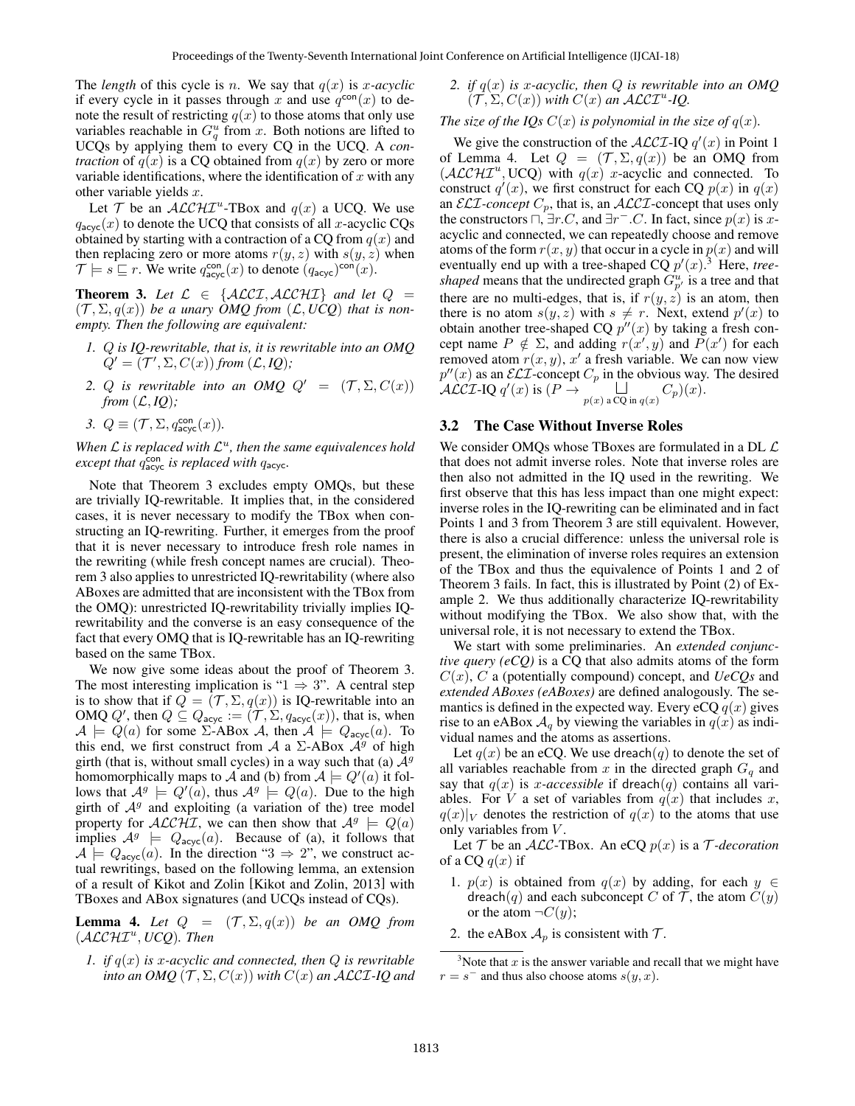The *length* of this cycle is n. We say that  $q(x)$  is x-acyclic if every cycle in it passes through x and use  $q^{\text{con}}(x)$  to denote the result of restricting  $q(x)$  to those atoms that only use variables reachable in  $G_q^u$  from x. Both notions are lifted to UCQs by applying them to every CQ in the UCQ. A *contraction* of  $q(x)$  is a CQ obtained from  $q(x)$  by zero or more variable identifications, where the identification of  $x$  with any other variable yields  $x$ .

Let T be an  $ALCHI^u$ -TBox and  $q(x)$  a UCQ. We use  $q_{\text{acyc}}(x)$  to denote the UCQ that consists of all x-acyclic CQs obtained by starting with a contraction of a CQ from  $q(x)$  and then replacing zero or more atoms  $r(y, z)$  with  $s(y, z)$  when  $\mathcal{T} \models s \sqsubseteq r$ . We write  $q_{\mathsf{acyc}}^{\mathsf{con}}(x)$  to denote  $(q_{\mathsf{acyc}})^{\mathsf{con}}(x)$ .

**Theorem 3.** Let  $\mathcal{L} \in \{ALCI, ALCHI\}$  and let  $Q =$  $(\mathcal{T}, \Sigma, q(x))$  *be a unary OMO from*  $(\mathcal{L}, UCO)$  *that is nonempty. Then the following are equivalent:*

- *1.* Q *is IQ-rewritable, that is, it is rewritable into an OMQ*  $Q' = (T', \Sigma, C(x))$  from  $(L, IQ)$ ;
- *2. Q is rewritable into an OMQ*  $Q' = (\mathcal{T}, \Sigma, C(x))$ *from*  $(L, IQ)$ *;*
- 3.  $Q \equiv (\mathcal{T}, \Sigma, q_{\mathsf{acyc}}^{\mathsf{con}}(x)).$

When  $\mathcal L$  is replaced with  $\mathcal L^u$ , then the same equivalences hold *except that*  $q_{\text{acyc}}^{\text{con}}$  *is replaced with*  $q_{\text{acyc}}$ *.* 

Note that Theorem 3 excludes empty OMQs, but these are trivially IQ-rewritable. It implies that, in the considered cases, it is never necessary to modify the TBox when constructing an IQ-rewriting. Further, it emerges from the proof that it is never necessary to introduce fresh role names in the rewriting (while fresh concept names are crucial). Theorem 3 also applies to unrestricted IQ-rewritability (where also ABoxes are admitted that are inconsistent with the TBox from the OMQ): unrestricted IQ-rewritability trivially implies IQrewritability and the converse is an easy consequence of the fact that every OMQ that is IQ-rewritable has an IQ-rewriting based on the same TBox.

We now give some ideas about the proof of Theorem 3. The most interesting implication is " $1 \Rightarrow 3$ ". A central step is to show that if  $Q = (\mathcal{T}, \Sigma, q(x))$  is IQ-rewritable into an OMQ Q', then  $Q \subseteq Q_{\text{acyc}} := (\mathcal{T}, \Sigma, q_{\text{acyc}}(x))$ , that is, when  $\mathcal{A} \models Q(a)$  for some  $\Sigma$ -ABox  $\mathcal{A}$ , then  $\mathcal{A} \models Q_{\text{acyc}}(a)$ . To this end, we first construct from A a  $\Sigma$ -ABox  $\mathcal{A}^g$  of high girth (that is, without small cycles) in a way such that (a)  $A<sup>g</sup>$ homomorphically maps to A and (b) from  $A \models Q'(a)$  it follows that  $A^g \models Q'(a)$ , thus  $A^g \models Q(a)$ . Due to the high girth of  $A<sup>g</sup>$  and exploiting (a variation of the) tree model property for  $\mathcal{ALCHI}$ , we can then show that  $\mathcal{A}^g \models Q(a)$ implies  $A^g \models Q_{\text{acyc}}(a)$ . Because of (a), it follows that  $A \models Q_{\text{acyc}}(a)$ . In the direction "3  $\Rightarrow$  2", we construct actual rewritings, based on the following lemma, an extension of a result of Kikot and Zolin [Kikot and Zolin, 2013] with TBoxes and ABox signatures (and UCQs instead of CQs).

**Lemma 4.** Let  $Q = (\mathcal{T}, \Sigma, q(x))$  be an OMQ from (ALCHI<sup>u</sup> , *UCQ*)*. Then*

*1. if* q(x) *is* x*-acyclic and connected, then* Q *is rewritable into an OMQ*  $(\mathcal{T}, \Sigma, C(x))$  *with*  $C(x)$  *an ALCI-IQ and* 

### *2. if*  $q(x)$  *is x-acyclic, then*  $Q$  *is rewritable into an OMQ*  $(\mathcal{T}, \Sigma, C(x))$  with  $C(x)$  an  $\mathcal{ALCI}^u$ -*IQ*.

*The size of the IQs*  $C(x)$  *is polynomial in the size of*  $q(x)$ *.* 

We give the construction of the  $\mathcal{ALCI-IQ}$   $q'(x)$  in Point 1 of Lemma 4. Let  $Q = (\mathcal{T}, \Sigma, q(x))$  be an OMQ from  $(\mathcal{ALCHI}^u, \text{UCQ})$  with  $q(x)$  x-acyclic and connected. To construct  $q'(x)$ , we first construct for each CQ  $p(x)$  in  $q(x)$ an  $\mathcal{ELI}\text{-}concept C_p$ , that is, an  $\mathcal{ALCI}\text{-}concept$  that uses only the constructors  $\Box, \exists r.C$ , and  $\exists r^- . C$ . In fact, since  $p(x)$  is xacyclic and connected, we can repeatedly choose and remove atoms of the form  $r(x, y)$  that occur in a cycle in  $p(x)$  and will eventually end up with a tree-shaped  $CQ p'(x)$ .<sup>3</sup> Here, *treeshaped* means that the undirected graph  $G_{p'}^u$  is a tree and that there are no multi-edges, that is, if  $r(y, z)$  is an atom, then there is no atom  $s(y, z)$  with  $s \neq r$ . Next, extend  $p'(x)$  to obtain another tree-shaped CQ  $p''(x)$  by taking a fresh concept name  $P \notin \Sigma$ , and adding  $r(x', y)$  and  $P(x')$  for each removed atom  $r(x, y)$ , x' a fresh variable. We can now view  $p''(x)$  as an  $\mathcal{ELI}$ -concept  $C_p$  in the obvious way. The desired  $\overline{\mathcal{ALCI-IQ}}$   $q'(x)$  is  $(P \to p(x)$  a CQ in  $q(x)$   $C_p)(x)$ .

#### 3.2 The Case Without Inverse Roles

We consider OMQs whose TBoxes are formulated in a DL  $\mathcal L$ that does not admit inverse roles. Note that inverse roles are then also not admitted in the IQ used in the rewriting. We first observe that this has less impact than one might expect: inverse roles in the IQ-rewriting can be eliminated and in fact Points 1 and 3 from Theorem 3 are still equivalent. However, there is also a crucial difference: unless the universal role is present, the elimination of inverse roles requires an extension of the TBox and thus the equivalence of Points 1 and 2 of Theorem 3 fails. In fact, this is illustrated by Point (2) of Example 2. We thus additionally characterize IQ-rewritability without modifying the TBox. We also show that, with the universal role, it is not necessary to extend the TBox.

We start with some preliminaries. An *extended conjunctive query (eCQ)* is a CQ that also admits atoms of the form C(x), C a (potentially compound) concept, and *UeCQs* and *extended ABoxes (eABoxes)* are defined analogously. The semantics is defined in the expected way. Every eCQ  $q(x)$  gives rise to an eABox  $A_q$  by viewing the variables in  $q(x)$  as individual names and the atoms as assertions.

Let  $q(x)$  be an eCQ. We use dreach $(q)$  to denote the set of all variables reachable from x in the directed graph  $G<sub>q</sub>$  and say that  $q(x)$  is *x*-accessible if dreach(q) contains all variables. For V a set of variables from  $q(x)$  that includes x,  $q(x)|_V$  denotes the restriction of  $q(x)$  to the atoms that use only variables from  $V$ .

Let  $T$  be an ALC-TBox. An eCQ  $p(x)$  is a  $T$ -decoration of a CQ  $q(x)$  if

- 1.  $p(x)$  is obtained from  $q(x)$  by adding, for each  $y \in$ dreach(q) and each subconcept C of T, the atom  $C(y)$ or the atom  $\neg C(y)$ ;
- 2. the eABox  $A_p$  is consistent with  $\mathcal{T}$ .

<sup>&</sup>lt;sup>3</sup>Note that  $x$  is the answer variable and recall that we might have  $r = s^{-}$  and thus also choose atoms  $s(y, x)$ .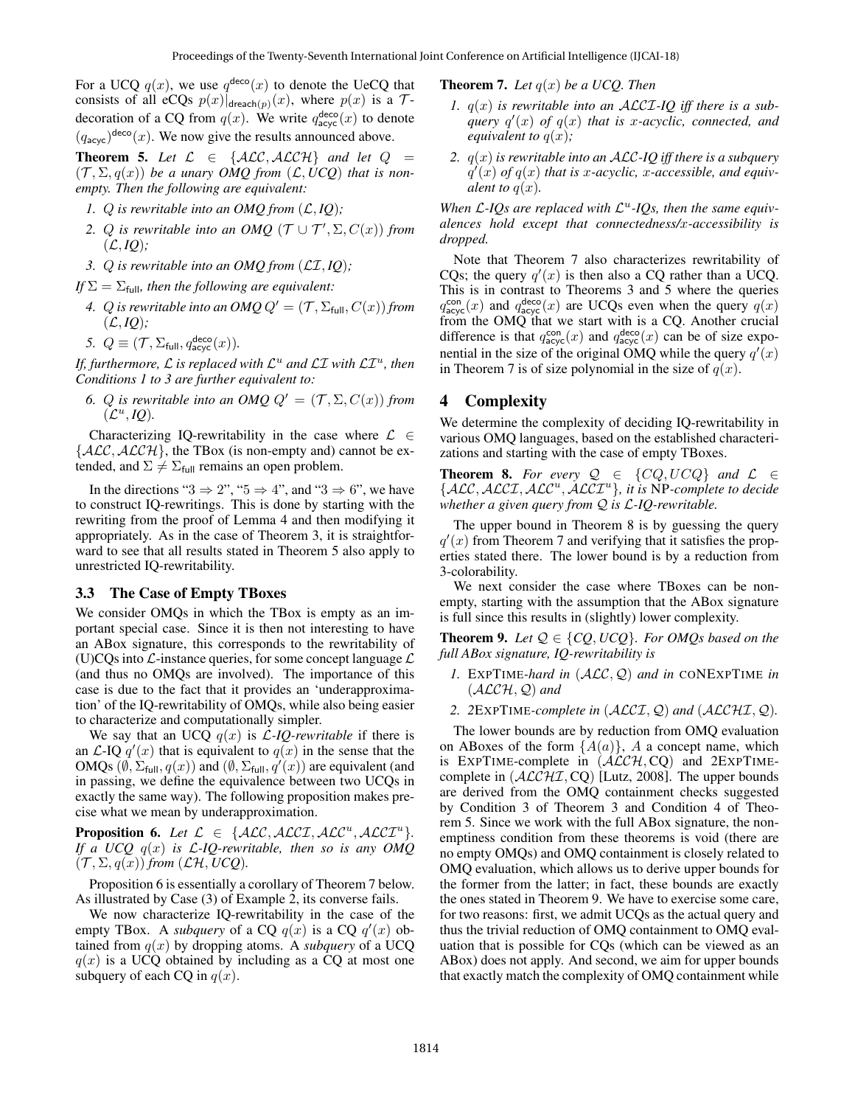For a UCQ  $q(x)$ , we use  $q^{\text{deco}}(x)$  to denote the UeCQ that consists of all eCQs  $p(x)|_{\text{dead}(p)}(x)$ , where  $p(x)$  is a  $\mathcal{T}$ decoration of a CQ from  $q(x)$ . We write  $q_{\text{acyc}}^{\text{deco}}(x)$  to denote  $(q_{\text{acyc}})^{\text{deco}}(x)$ . We now give the results announced above.

**Theorem 5.** Let  $\mathcal{L} \in \{ALC, ALCH\}$  and let  $Q =$  $(\mathcal{T}, \Sigma, q(x))$  be a unary OMO from  $(\mathcal{L}, UCO)$  that is non*empty. Then the following are equivalent:*

- *1. Q* is rewritable into an OMQ from  $(L, IQ)$ ;
- 2. Q is rewritable into an OMQ  $(\mathcal{T} \cup \mathcal{T}', \Sigma, C(x))$  from  $(L, IQ)$ ;
- *3.* Q *is rewritable into an OMQ from* (LI, *IQ*)*;*

*If*  $\Sigma = \Sigma_{\text{full}}$ *, then the following are equivalent:* 

- *4. Q is rewritable into an OMQ*  $Q' = (\mathcal{T}, \Sigma_{\text{full}}, C(x))$  *from*  $(L, IQ);$
- *5.*  $Q \equiv (\mathcal{T}, \Sigma_{\text{full}}, q_{\text{acyc}}^{\text{deco}}(x)).$

If, furthermore,  $\mathcal L$  is replaced with  $\mathcal L^u$  and  $\mathcal L\mathcal I$  with  $\mathcal L\mathcal I^u$ , then *Conditions 1 to 3 are further equivalent to:*

*6. Q is rewritable into an OMQ*  $Q' = (\mathcal{T}, \Sigma, C(x))$  *from*  $(\mathcal{L}^u, IQ).$ 

Characterizing IQ-rewritability in the case where  $\mathcal{L} \in$  $\{ALC, ALCH\}$ , the TBox (is non-empty and) cannot be extended, and  $\Sigma \neq \Sigma_{\text{full}}$  remains an open problem.

In the directions " $3 \Rightarrow 2$ ", " $5 \Rightarrow 4$ ", and " $3 \Rightarrow 6$ ", we have to construct IQ-rewritings. This is done by starting with the rewriting from the proof of Lemma 4 and then modifying it appropriately. As in the case of Theorem 3, it is straightforward to see that all results stated in Theorem 5 also apply to unrestricted IQ-rewritability.

#### 3.3 The Case of Empty TBoxes

We consider OMQs in which the TBox is empty as an important special case. Since it is then not interesting to have an ABox signature, this corresponds to the rewritability of (U)CQs into  $\mathcal{L}$ -instance queries, for some concept language  $\mathcal{L}$ (and thus no OMQs are involved). The importance of this case is due to the fact that it provides an 'underapproximation' of the IQ-rewritability of OMQs, while also being easier to characterize and computationally simpler.

We say that an UCQ  $q(x)$  is  $\mathcal{L}$ -*IQ-rewritable* if there is an  $\mathcal{L}$ -IQ  $q'(x)$  that is equivalent to  $q(x)$  in the sense that the OMQs  $(\emptyset, \Sigma_{\text{full}}, q(x))$  and  $(\emptyset, \Sigma_{\text{full}}, q'(x))$  are equivalent (and in passing, we define the equivalence between two UCQs in exactly the same way). The following proposition makes precise what we mean by underapproximation.

**Proposition 6.** Let  $\mathcal{L} \in \{ALC, ALCT, ALC^u, ALCT^u\}.$ *If a UCQ* q(x) *is* L*-IQ-rewritable, then so is any OMQ*  $(\mathcal{T}, \Sigma, q(x))$  *from*  $(\mathcal{LH}, \textit{UCQ})$ *.* 

Proposition 6 is essentially a corollary of Theorem 7 below. As illustrated by Case (3) of Example 2, its converse fails.

We now characterize IQ-rewritability in the case of the empty TBox. A *subquery* of a CQ  $q(x)$  is a CQ  $q'(x)$  obtained from  $q(x)$  by dropping atoms. A *subquery* of a UCQ  $q(x)$  is a UCQ obtained by including as a CQ at most one subquery of each CQ in  $q(x)$ .

**Theorem 7.** *Let*  $q(x)$  *be a UCQ. Then* 

- *1.* q(x) *is rewritable into an* ALCI*-IQ iff there is a sub* $q$ *ivery*  $q'(x)$  *of*  $q(x)$  *that is x-acyclic, connected, and equivalent to*  $q(x)$ *;*
- *2.* q(x) *is rewritable into an* ALC*-IQ iff there is a subquery*  $q'(x)$  *of*  $q(x)$  *that is x-acyclic, x-accessible, and equivalent to*  $q(x)$ *.*

When  $\mathcal{L}$ -*IQs* are replaced with  $\mathcal{L}^u$ -*IQs, then the same equivalences hold except that connectedness/*x*-accessibility is dropped.*

Note that Theorem 7 also characterizes rewritability of CQs; the query  $q'(x)$  is then also a CQ rather than a UCQ. This is in contrast to Theorems 3 and 5 where the queries  $q_{\text{acyc}}^{\text{con}}(x)$  and  $q_{\text{acyc}}^{\text{deco}}(x)$  are UCQs even when the query  $q(x)$ from the OMQ that we start with is a CQ. Another crucial difference is that  $q_{\text{acyc}}^{\text{con}}(x)$  and  $q_{\text{acyc}}^{\text{deco}}(x)$  can be of size exponential in the size of the original OMQ while the query  $q'(x)$ in Theorem 7 is of size polynomial in the size of  $q(x)$ .

# 4 Complexity

We determine the complexity of deciding IQ-rewritability in various OMQ languages, based on the established characterizations and starting with the case of empty TBoxes.

**Theorem 8.** For every  $Q \in \{CQ, UCQ\}$  and  $\mathcal{L} \in$ {ALC, ALCI, ALC<sup>u</sup> , ALCI<sup>u</sup> }*, it is* NP*-complete to decide whether a given query from* Q *is* L*-IQ-rewritable.*

The upper bound in Theorem 8 is by guessing the query  $q'(x)$  from Theorem 7 and verifying that it satisfies the properties stated there. The lower bound is by a reduction from 3-colorability.

We next consider the case where TBoxes can be nonempty, starting with the assumption that the ABox signature is full since this results in (slightly) lower complexity.

**Theorem 9.** Let  $Q \in \{CQ, UCQ\}$ . For OMQs based on the *full ABox signature, IQ-rewritability is*

- *1.* EXPTIME*-hard in* (ALC, Q) *and in* CONEXPTIME *in*  $(\text{ALCH}, \mathcal{Q})$  and
- *2. 2*EXPTIME*-complete in* (ALCI, Q) *and* (ALCHI, Q)*.*

The lower bounds are by reduction from OMQ evaluation on ABoxes of the form  ${A(a)}$ , A a concept name, which is EXPTIME-complete in  $(\angle \angle LCH, \angle CQ)$  and  $2EXPTIME$ complete in  $(ACCHI, CQ)$  [Lutz, 2008]. The upper bounds are derived from the OMQ containment checks suggested by Condition 3 of Theorem 3 and Condition 4 of Theorem 5. Since we work with the full ABox signature, the nonemptiness condition from these theorems is void (there are no empty OMQs) and OMQ containment is closely related to OMQ evaluation, which allows us to derive upper bounds for the former from the latter; in fact, these bounds are exactly the ones stated in Theorem 9. We have to exercise some care, for two reasons: first, we admit UCQs as the actual query and thus the trivial reduction of OMQ containment to OMQ evaluation that is possible for CQs (which can be viewed as an ABox) does not apply. And second, we aim for upper bounds that exactly match the complexity of OMQ containment while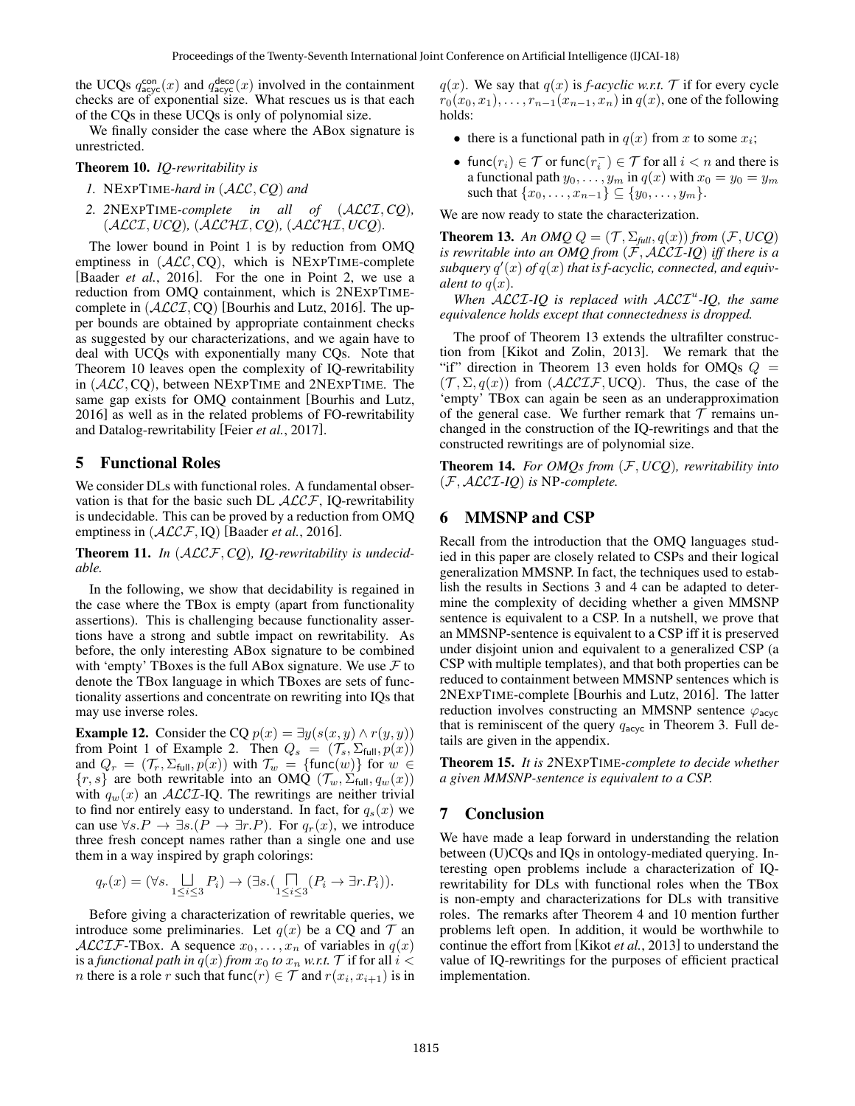the UCQs  $q_{\text{acyc}}^{\text{con}}(x)$  and  $q_{\text{acyc}}^{\text{deco}}(x)$  involved in the containment checks are of exponential size. What rescues us is that each of the CQs in these UCQs is only of polynomial size.

We finally consider the case where the ABox signature is unrestricted.

#### Theorem 10. *IQ-rewritability is*

- *1.* NEXPTIME*-hard in* (ALC, *CQ*) *and*
- *2. 2*NEXPTIME*-complete in all of* (ALCI, *CQ*)*,* (ALCI, *UCQ*)*,* (ALCHI, *CQ*)*,* (ALCHI, *UCQ*)*.*

The lower bound in Point 1 is by reduction from OMQ emptiness in  $(ALC, CO)$ , which is NEXPTIME-complete [Baader *et al.*, 2016]. For the one in Point 2, we use a reduction from OMQ containment, which is 2NEXPTIMEcomplete in  $(ACCI, CQ)$  [Bourhis and Lutz, 2016]. The upper bounds are obtained by appropriate containment checks as suggested by our characterizations, and we again have to deal with UCQs with exponentially many CQs. Note that Theorem 10 leaves open the complexity of IQ-rewritability in (ALC, CQ), between NEXPTIME and 2NEXPTIME. The same gap exists for OMQ containment [Bourhis and Lutz, 2016] as well as in the related problems of FO-rewritability and Datalog-rewritability [Feier *et al.*, 2017].

### 5 Functional Roles

We consider DLs with functional roles. A fundamental observation is that for the basic such DL  $ALCF$ , IQ-rewritability is undecidable. This can be proved by a reduction from OMQ emptiness in (ALCF, IQ) [Baader *et al.*, 2016].

Theorem 11. *In* (ALCF, *CQ*)*, IQ-rewritability is undecidable.*

In the following, we show that decidability is regained in the case where the TBox is empty (apart from functionality assertions). This is challenging because functionality assertions have a strong and subtle impact on rewritability. As before, the only interesting ABox signature to be combined with 'empty' TBoxes is the full ABox signature. We use  $\mathcal F$  to denote the TBox language in which TBoxes are sets of functionality assertions and concentrate on rewriting into IQs that may use inverse roles.

**Example 12.** Consider the CQ  $p(x) = \exists y(s(x, y) \land r(y, y))$ from Point 1 of Example 2. Then  $Q_s = (\mathcal{T}_s, \Sigma_{\text{full}}, p(x))$ and  $Q_r = (\mathcal{T}_r, \Sigma_{\text{full}}, p(x))$  with  $\mathcal{T}_w = \{\text{func}(w)\}\$ for  $w \in$  $\{r, s\}$  are both rewritable into an OMQ  $(\mathcal{T}_w, \Sigma_{\text{full}}, q_w(x))$ with  $q_w(x)$  an  $\mathcal{ALCI}$ -IQ. The rewritings are neither trivial to find nor entirely easy to understand. In fact, for  $q_s(x)$  we can use  $\forall s.P \rightarrow \exists s.(P \rightarrow \exists r.P)$ . For  $q_r(x)$ , we introduce three fresh concept names rather than a single one and use them in a way inspired by graph colorings:

$$
q_r(x)=(\forall s.\bigsqcup_{1\leq i\leq 3}P_i)\rightarrow (\exists s.(\bigsqcup_{1\leq i\leq 3}(P_i\rightarrow \exists r.P_i)).
$$

Before giving a characterization of rewritable queries, we introduce some preliminaries. Let  $q(x)$  be a CQ and  $\mathcal T$  an ALCIF-TBox. A sequence  $x_0, \ldots, x_n$  of variables in  $q(x)$ is a *functional path in*  $q(x)$  *from*  $x_0$  *to*  $x_n$  *w.r.t.*  $\mathcal T$  if for all  $i <$ *n* there is a role *r* such that func $(r) \in \mathcal{T}$  and  $r(x_i, x_{i+1})$  is in  $q(x)$ . We say that  $q(x)$  is *f-acyclic w.r.t.* T if for every cycle  $r_0(x_0, x_1), \ldots, r_{n-1}(x_{n-1}, x_n)$  in  $q(x)$ , one of the following holds:

- there is a functional path in  $q(x)$  from x to some  $x_i$ ;
- func $(r_i) \in \mathcal{T}$  or func $(r_i^-) \in \mathcal{T}$  for all  $i < n$  and there is a functional path  $y_0, \ldots, y_m$  in  $q(x)$  with  $x_0 = y_0 = y_m$ such that  $\{x_0, \ldots, x_{n-1}\} \subseteq \{y_0, \ldots, y_m\}.$

We are now ready to state the characterization.

**Theorem 13.** An OMQ  $Q = (\mathcal{T}, \Sigma_{\text{full}}, q(x))$  from  $(\mathcal{F}, UCQ)$ *is rewritable into an OMQ from* (F, ALCI*-IQ*) *iff there is a*  $s$ ubquery  $q'(x)$  of  $q(x)$  that is f-acyclic, connected, and equiv*alent to*  $q(x)$ *.* 

When  $\widehat{ALCL-IQ}$  is replaced with  $\widehat{ALCL}^u$ -*IQ*, the same *equivalence holds except that connectedness is dropped.*

The proof of Theorem 13 extends the ultrafilter construction from [Kikot and Zolin, 2013]. We remark that the "if" direction in Theorem 13 even holds for OMQs  $Q =$  $(\mathcal{T}, \Sigma, q(x))$  from  $(\mathcal{ALCIF}, \text{UCQ})$ . Thus, the case of the 'empty' TBox can again be seen as an underapproximation of the general case. We further remark that  $T$  remains unchanged in the construction of the IQ-rewritings and that the constructed rewritings are of polynomial size.

Theorem 14. *For OMQs from* (F, *UCQ*)*, rewritability into* (F, ALCI*-IQ*) *is* NP*-complete.*

# 6 MMSNP and CSP

Recall from the introduction that the OMQ languages studied in this paper are closely related to CSPs and their logical generalization MMSNP. In fact, the techniques used to establish the results in Sections 3 and 4 can be adapted to determine the complexity of deciding whether a given MMSNP sentence is equivalent to a CSP. In a nutshell, we prove that an MMSNP-sentence is equivalent to a CSP iff it is preserved under disjoint union and equivalent to a generalized CSP (a CSP with multiple templates), and that both properties can be reduced to containment between MMSNP sentences which is 2NEXPTIME-complete [Bourhis and Lutz, 2016]. The latter reduction involves constructing an MMSNP sentence  $\varphi_{\text{acyc}}$ that is reminiscent of the query  $q_{\text{acyc}}$  in Theorem 3. Full details are given in the appendix.

Theorem 15. *It is 2*NEXPTIME*-complete to decide whether a given MMSNP-sentence is equivalent to a CSP.*

### 7 Conclusion

We have made a leap forward in understanding the relation between (U)CQs and IQs in ontology-mediated querying. Interesting open problems include a characterization of IQrewritability for DLs with functional roles when the TBox is non-empty and characterizations for DLs with transitive roles. The remarks after Theorem 4 and 10 mention further problems left open. In addition, it would be worthwhile to continue the effort from [Kikot *et al.*, 2013] to understand the value of IQ-rewritings for the purposes of efficient practical implementation.